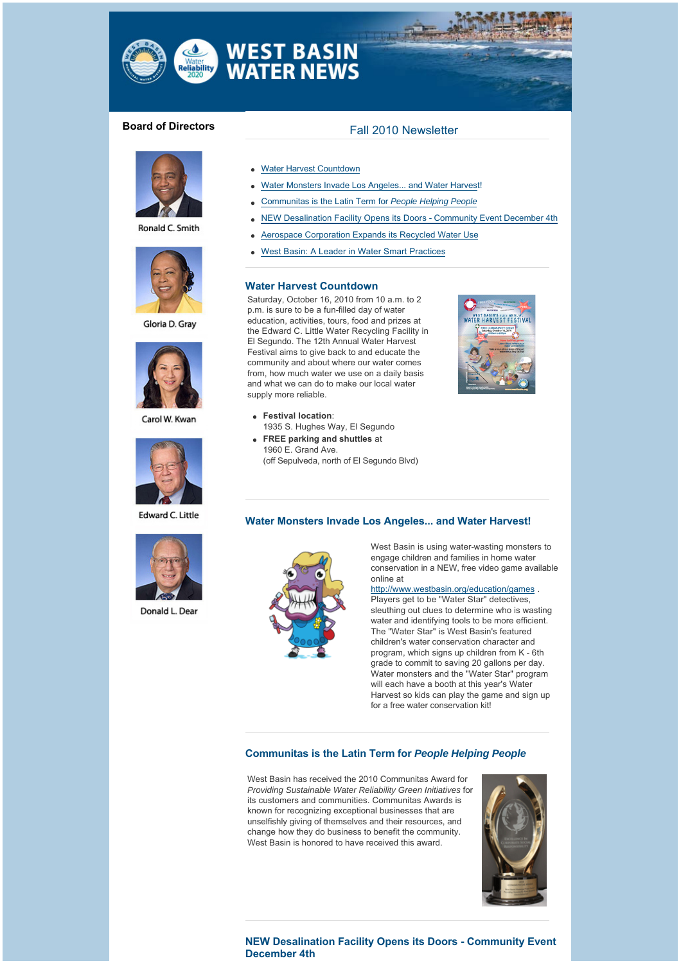

# **WEST BASIN<br>WATER NEWS**

water<br>**eliability** 



Ronald C. Smith



Gloria D. Grav



Carol W. Kwan



**Edward C. Little** 



Donald L. Dear

## **Board of Directors** Fall 2010 Newsletter

- **Water Harvest Countdown**
- Water Monsters Invade Los Angeles... and Water Harvest!
- <sup>l</sup> Communitas is the Latin Term for *People Helping People*
- NEW Desalination Facility Opens its Doors Community Event December 4th
- Aerospace Corporation Expands its Recycled Water Use
- West Basin: A Leader in Water Smart Practices

#### **[Water Harvest Countdown](http://westbasinmunicipalwaterdistrict.cmail1.com/t/r/l/fkrlyd/l/r)**

Saturday, October 16, 2010 from 10 a.m. to 2 p.m. is sure to be a fun-filled day of water education, activities, tours, food and prizes at the Edward C. Little Water Recycling Facility in El Segundo. The 12th Annual Water Harvest Festival aims to give back to and educate the community and about where our water comes from, how much water we use on a daily basis and what we can do to make our local water supply more reliable.

- **e** Festival location: 1935 S. Hughes Way, El Segundo
- **FREE parking and shuttles** at 1960 E. Grand Ave. (off Sepulveda, north of El Segundo Blvd)





West Basin is using water-wasting monsters to engage children and families in home water conservation in a NEW, free video game available online at

[http://www.westbasin.org/education/games](http://westbasinmunicipalwaterdistrict.cmail1.com/t/r/l/fkrlyd/l/j) .

Players get to be "Water Star" detectives, sleuthing out clues to determine who is wasting water and identifying tools to be more efficient. The "Water Star" is West Basin's featured children's water conservation character and program, which signs up children from K - 6th grade to commit to saving 20 gallons per day. Water monsters and the "Water Star" program will each have a booth at this year's Water Harvest so kids can play the game and sign up for a free water conservation kit!

#### **[Communitas is the Latin Term for](http://westbasinmunicipalwaterdistrict.cmail1.com/t/r/l/fkrlyd/l/t)** *People Helping People*

West Basin has received the 2010 Communitas Award for *Providing Sustainable Water Reliability Green Initiatives* for its customers and communities. Communitas Awards is known for recognizing exceptional businesses that are unselfishly giving of themselves and their resources, and change how they do business to benefit the community. West Basin is honored to have received this award.



#### **[NEW Desalination Facility Opens its Doors - Community Event](http://westbasinmunicipalwaterdistrict.cmail1.com/t/r/l/fkrlyd/l/i)  December 4th**